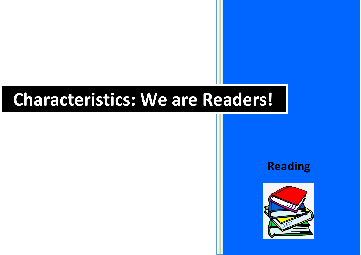## **Characteristics: We are Readers!**

**Reading**